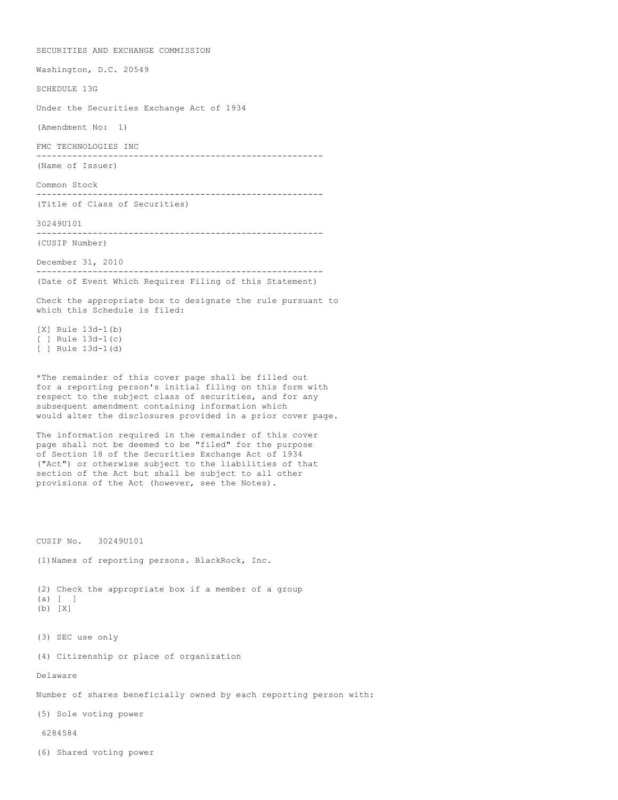SECURITIES AND EXCHANGE COMMISSION Washington, D.C. 20549 SCHEDULE 13G Under the Securities Exchange Act of 1934 (Amendment No: 1) FMC TECHNOLOGIES INC -------------------------------------------------------- (Name of Issuer) Common Stock -------------------------------------------------------- (Title of Class of Securities) 30249U101 -------------------------------------------------------- (CUSIP Number) December 31, 2010 -------------------------------------------------------- (Date of Event Which Requires Filing of this Statement) Check the appropriate box to designate the rule pursuant to which this Schedule is filed: [X] Rule 13d-1(b) [ ] Rule  $13d-1(c)$ [ ] Rule 13d-1(d) \*The remainder of this cover page shall be filled out for a reporting person's initial filing on this form with respect to the subject class of securities, and for any subsequent amendment containing information which would alter the disclosures provided in a prior cover page. The information required in the remainder of this cover page shall not be deemed to be "filed" for the purpose of Section 18 of the Securities Exchange Act of 1934 ("Act") or otherwise subject to the liabilities of that section of the Act but shall be subject to all other provisions of the Act (however, see the Notes). CUSIP No. 30249U101 (1)Names of reporting persons. BlackRock, Inc. (2) Check the appropriate box if a member of a group (a) [ ] (b) [X] (3) SEC use only (4) Citizenship or place of organization Delaware Number of shares beneficially owned by each reporting person with: (5) Sole voting power 6284584 (6) Shared voting power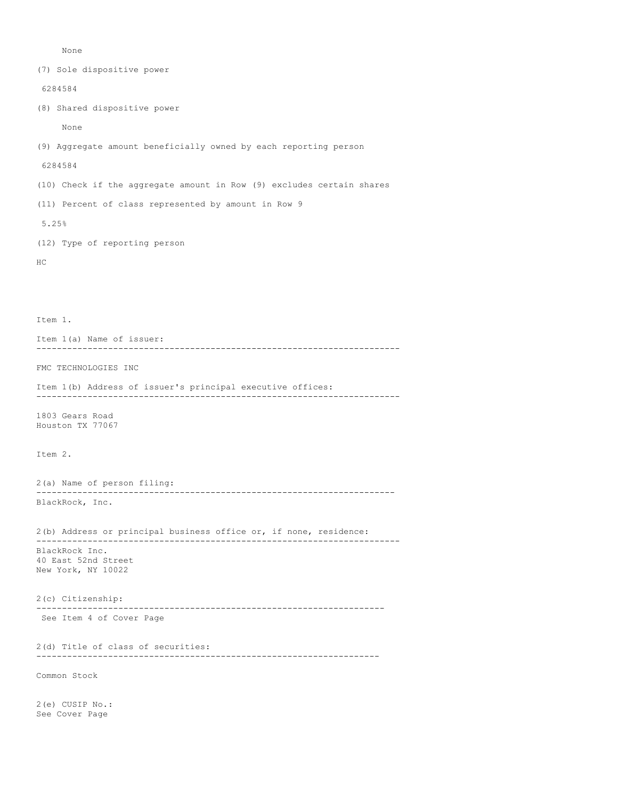None

See Cover Page

(7) Sole dispositive power 6284584 (8) Shared dispositive power None (9) Aggregate amount beneficially owned by each reporting person 6284584 (10) Check if the aggregate amount in Row (9) excludes certain shares (11) Percent of class represented by amount in Row 9 5.25% (12) Type of reporting person HC Item 1. Item 1(a) Name of issuer: ----------------------------------------------------------------------- FMC TECHNOLOGIES INC Item 1(b) Address of issuer's principal executive offices: ----------------------------------------------------------------------- 1803 Gears Road Houston TX 77067 Item 2. 2(a) Name of person filing: ---------------------------------------------------------------------- BlackRock, Inc. 2(b) Address or principal business office or, if none, residence: ----------------------------------------------------------------------- BlackRock Inc. 40 East 52nd Street New York, NY 10022 2(c) Citizenship: -------------------------------------------------------------------- See Item 4 of Cover Page 2(d) Title of class of securities: ------------------------------------------------------------------- Common Stock 2(e) CUSIP No.: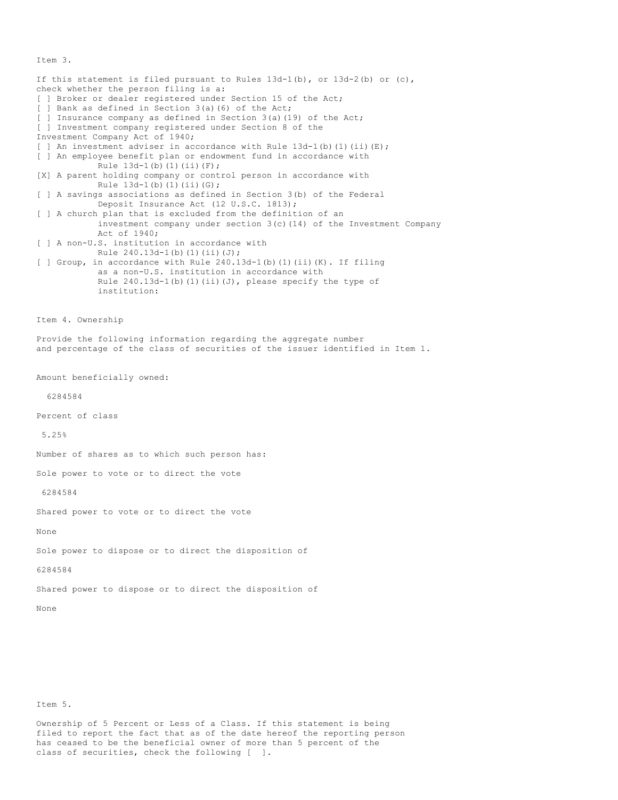Item 3.

If this statement is filed pursuant to Rules  $13d-1(b)$ , or  $13d-2(b)$  or  $(c)$ , check whether the person filing is a: [ ] Broker or dealer registered under Section 15 of the Act; [ ] Bank as defined in Section 3(a)(6) of the Act; [ ] Insurance company as defined in Section 3(a)(19) of the Act; [ ] Investment company registered under Section 8 of the Investment Company Act of 1940; [ ] An investment adviser in accordance with Rule  $13d-1$  (b) (1) (ii) (E); [ ] An employee benefit plan or endowment fund in accordance with Rule  $13d-1(b)(1)(ii)(F);$ [X] A parent holding company or control person in accordance with Rule  $13d-1(b)(1)(ii)(G);$ [ ] A savings associations as defined in Section 3(b) of the Federal Deposit Insurance Act (12 U.S.C. 1813); [ ] A church plan that is excluded from the definition of an investment company under section 3(c)(14) of the Investment Company Act of 1940; [ ] A non-U.S. institution in accordance with Rule 240.13d-1(b)(1)(ii)(J); [ ] Group, in accordance with Rule 240.13d-1(b)(1)(ii)(K). If filing as a non-U.S. institution in accordance with Rule  $240.13d-1$ (b)(1)(ii)(J), please specify the type of institution: Item 4. Ownership Provide the following information regarding the aggregate number and percentage of the class of securities of the issuer identified in Item 1. Amount beneficially owned: 6284584 Percent of class 5.25% Number of shares as to which such person has: Sole power to vote or to direct the vote 6284584 Shared power to vote or to direct the vote None Sole power to dispose or to direct the disposition of 6284584 Shared power to dispose or to direct the disposition of None

Item 5.

Ownership of 5 Percent or Less of a Class. If this statement is being filed to report the fact that as of the date hereof the reporting person has ceased to be the beneficial owner of more than 5 percent of the class of securities, check the following [ ].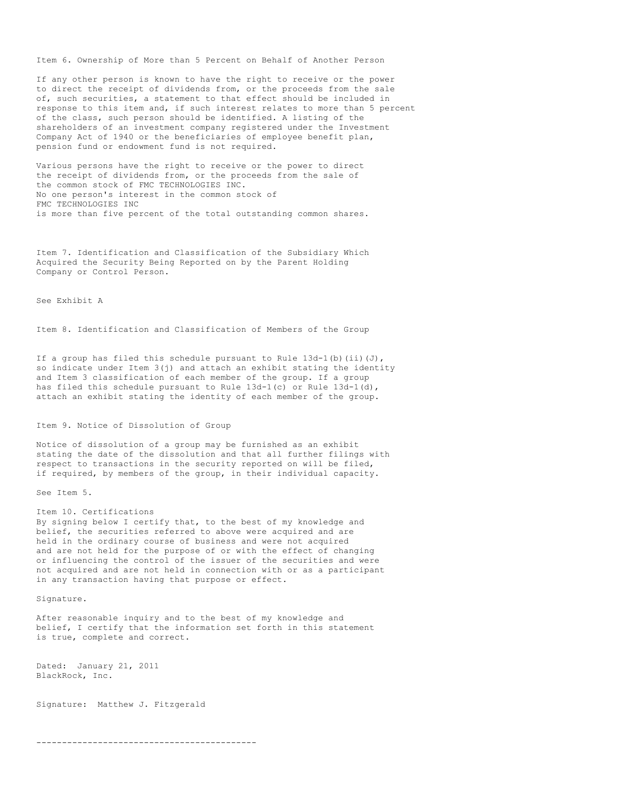Item 6. Ownership of More than 5 Percent on Behalf of Another Person

If any other person is known to have the right to receive or the power to direct the receipt of dividends from, or the proceeds from the sale of, such securities, a statement to that effect should be included in response to this item and, if such interest relates to more than 5 percent of the class, such person should be identified. A listing of the shareholders of an investment company registered under the Investment Company Act of 1940 or the beneficiaries of employee benefit plan, pension fund or endowment fund is not required.

Various persons have the right to receive or the power to direct the receipt of dividends from, or the proceeds from the sale of the common stock of FMC TECHNOLOGIES INC. No one person's interest in the common stock of FMC TECHNOLOGIES INC is more than five percent of the total outstanding common shares.

Item 7. Identification and Classification of the Subsidiary Which Acquired the Security Being Reported on by the Parent Holding Company or Control Person.

## See Exhibit A

Item 8. Identification and Classification of Members of the Group

If a group has filed this schedule pursuant to Rule  $13d-1$  (b) (ii)(J), so indicate under Item 3(j) and attach an exhibit stating the identity and Item 3 classification of each member of the group. If a group has filed this schedule pursuant to Rule  $13d-1(c)$  or Rule  $13d-1(d)$ , attach an exhibit stating the identity of each member of the group.

#### Item 9. Notice of Dissolution of Group

Notice of dissolution of a group may be furnished as an exhibit stating the date of the dissolution and that all further filings with respect to transactions in the security reported on will be filed, if required, by members of the group, in their individual capacity.

See Item 5.

# Item 10. Certifications

By signing below I certify that, to the best of my knowledge and belief, the securities referred to above were acquired and are held in the ordinary course of business and were not acquired and are not held for the purpose of or with the effect of changing or influencing the control of the issuer of the securities and were not acquired and are not held in connection with or as a participant in any transaction having that purpose or effect.

Signature.

After reasonable inquiry and to the best of my knowledge and belief, I certify that the information set forth in this statement is true, complete and correct.

Dated: January 21, 2011 BlackRock, Inc.

Signature: Matthew J. Fitzgerald

-------------------------------------------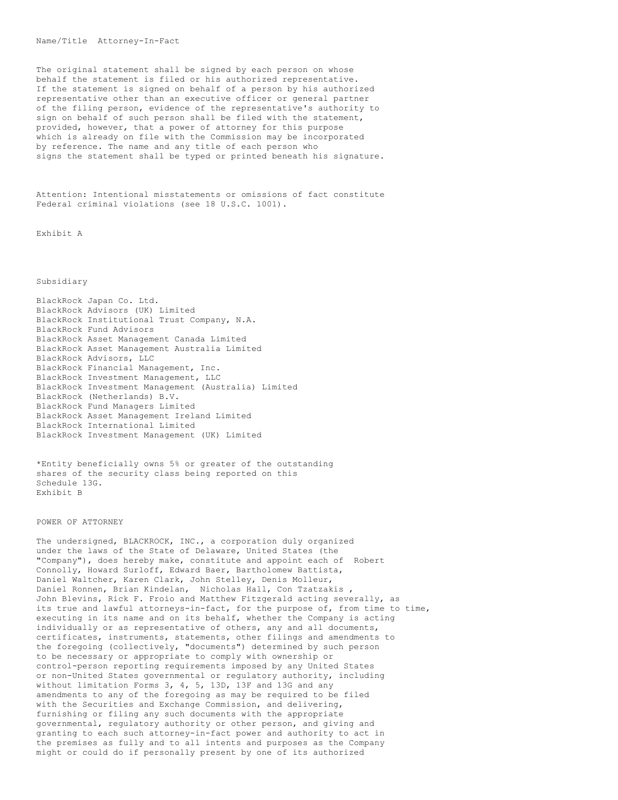The original statement shall be signed by each person on whose behalf the statement is filed or his authorized representative. If the statement is signed on behalf of a person by his authorized representative other than an executive officer or general partner of the filing person, evidence of the representative's authority to sign on behalf of such person shall be filed with the statement, provided, however, that a power of attorney for this purpose which is already on file with the Commission may be incorporated by reference. The name and any title of each person who signs the statement shall be typed or printed beneath his signature.

Attention: Intentional misstatements or omissions of fact constitute Federal criminal violations (see 18 U.S.C. 1001).

Exhibit A

## Subsidiary

BlackRock Japan Co. Ltd. BlackRock Advisors (UK) Limited BlackRock Institutional Trust Company, N.A. BlackRock Fund Advisors BlackRock Asset Management Canada Limited BlackRock Asset Management Australia Limited BlackRock Advisors, LLC BlackRock Financial Management, Inc. BlackRock Investment Management, LLC BlackRock Investment Management (Australia) Limited BlackRock (Netherlands) B.V. BlackRock Fund Managers Limited BlackRock Asset Management Ireland Limited BlackRock International Limited BlackRock Investment Management (UK) Limited

\*Entity beneficially owns 5% or greater of the outstanding shares of the security class being reported on this Schedule 13G. Exhibit B

## POWER OF ATTORNEY

The undersigned, BLACKROCK, INC., a corporation duly organized under the laws of the State of Delaware, United States (the "Company"), does hereby make, constitute and appoint each of Robert Connolly, Howard Surloff, Edward Baer, Bartholomew Battista, Daniel Waltcher, Karen Clark, John Stelley, Denis Molleur, Daniel Ronnen, Brian Kindelan, Nicholas Hall, Con Tzatzakis , John Blevins, Rick F. Froio and Matthew Fitzgerald acting severally, as its true and lawful attorneys-in-fact, for the purpose of, from time to time, executing in its name and on its behalf, whether the Company is acting individually or as representative of others, any and all documents, certificates, instruments, statements, other filings and amendments to the foregoing (collectively, "documents") determined by such person to be necessary or appropriate to comply with ownership or control-person reporting requirements imposed by any United States or non-United States governmental or regulatory authority, including without limitation Forms 3, 4, 5, 13D, 13F and 13G and any amendments to any of the foregoing as may be required to be filed with the Securities and Exchange Commission, and delivering, furnishing or filing any such documents with the appropriate governmental, regulatory authority or other person, and giving and granting to each such attorney-in-fact power and authority to act in the premises as fully and to all intents and purposes as the Company might or could do if personally present by one of its authorized